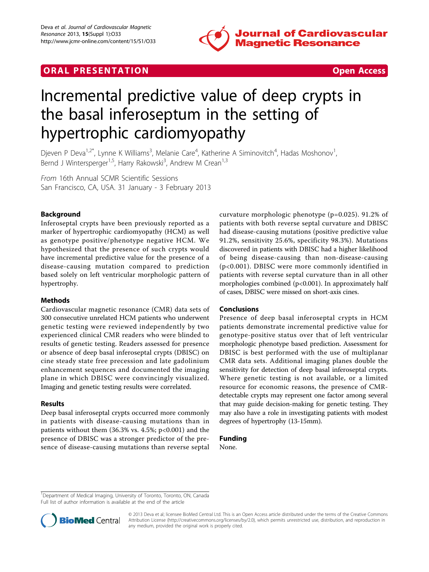





# Incremental predictive value of deep crypts in the basal inferoseptum in the setting of hypertrophic cardiomyopathy

Djeven P Deva<sup>1,2\*</sup>, Lynne K Williams<sup>3</sup>, Melanie Care<sup>4</sup>, Katherine A Siminovitch<sup>4</sup>, Hadas Moshonov<sup>1</sup> , Bernd J Wintersperger<sup>1,5</sup>, Harry Rakowski<sup>3</sup>, Andrew M Crean<sup>1,3</sup>

From 16th Annual SCMR Scientific Sessions San Francisco, CA, USA. 31 January - 3 February 2013

# Background

Inferoseptal crypts have been previously reported as a marker of hypertrophic cardiomyopathy (HCM) as well as genotype positive/phenotype negative HCM. We hypothesized that the presence of such crypts would have incremental predictive value for the presence of a disease-causing mutation compared to prediction based solely on left ventricular morphologic pattern of hypertrophy.

#### Methods

Cardiovascular magnetic resonance (CMR) data sets of 300 consecutive unrelated HCM patients who underwent genetic testing were reviewed independently by two experienced clinical CMR readers who were blinded to results of genetic testing. Readers assessed for presence or absence of deep basal inferoseptal crypts (DBISC) on cine steady state free precession and late gadolinium enhancement sequences and documented the imaging plane in which DBISC were convincingly visualized. Imaging and genetic testing results were correlated.

## Results

Deep basal inferoseptal crypts occurred more commonly in patients with disease-causing mutations than in patients without them  $(36.3\% \text{ vs. } 4.5\%; \text{ p<0.001})$  and the presence of DBISC was a stronger predictor of the presence of disease-causing mutations than reverse septal curvature morphologic phenotype (p=0.025). 91.2% of patients with both reverse septal curvature and DBISC had disease-causing mutations (positive predictive value 91.2%, sensitivity 25.6%, specificity 98.3%). Mutations discovered in patients with DBISC had a higher likelihood of being disease-causing than non-disease-causing (p<0.001). DBISC were more commonly identified in patients with reverse septal curvature than in all other morphologies combined (p<0.001). In approximately half of cases, DBISC were missed on short-axis cines.

## Conclusions

Presence of deep basal inferoseptal crypts in HCM patients demonstrate incremental predictive value for genotype-positive status over that of left ventricular morphologic phenotype based prediction. Assessment for DBISC is best performed with the use of multiplanar CMR data sets. Additional imaging planes double the sensitivity for detection of deep basal inferoseptal crypts. Where genetic testing is not available, or a limited resource for economic reasons, the presence of CMRdetectable crypts may represent one factor among several that may guide decision-making for genetic testing. They may also have a role in investigating patients with modest degrees of hypertrophy (13-15mm).

## Funding

None.

<sup>1</sup>Department of Medical Imaging, University of Toronto, Toronto, ON, Canada Full list of author information is available at the end of the article



© 2013 Deva et al; licensee BioMed Central Ltd. This is an Open Access article distributed under the terms of the Creative Commons Attribution License [\(http://creativecommons.org/licenses/by/2.0](http://creativecommons.org/licenses/by/2.0)), which permits unrestricted use, distribution, and reproduction in any medium, provided the original work is properly cited.